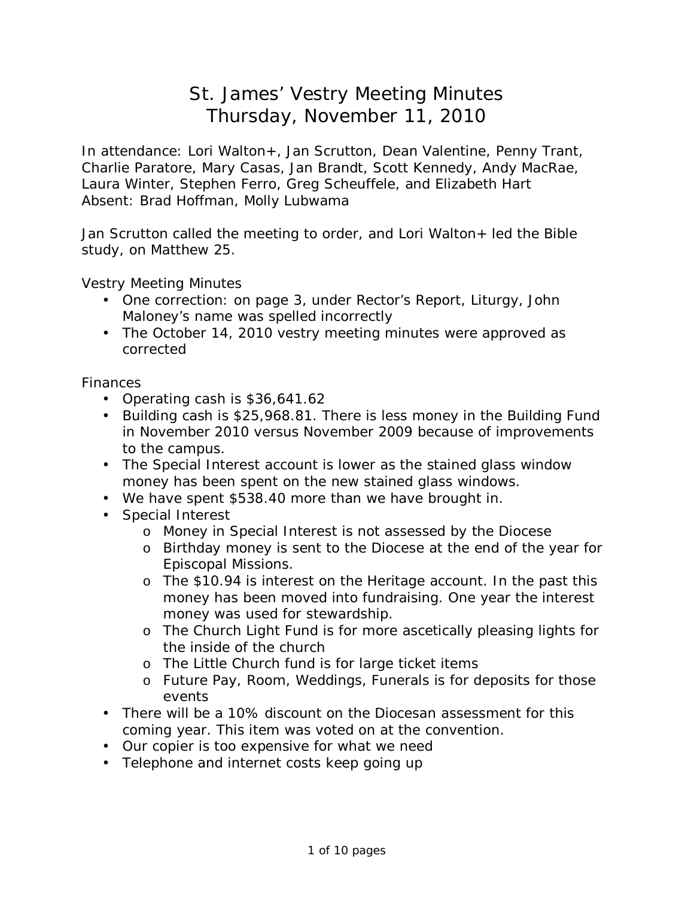# St. James' Vestry Meeting Minutes Thursday, November 11, 2010

In attendance: Lori Walton+, Jan Scrutton, Dean Valentine, Penny Trant, Charlie Paratore, Mary Casas, Jan Brandt, Scott Kennedy, Andy MacRae, Laura Winter, Stephen Ferro, Greg Scheuffele, and Elizabeth Hart Absent: Brad Hoffman, Molly Lubwama

Jan Scrutton called the meeting to order, and Lori Walton+ led the Bible study, on Matthew 25.

Vestry Meeting Minutes

- One correction: on page 3, under Rector's Report, Liturgy, John Maloney's name was spelled incorrectly
- The October 14, 2010 vestry meeting minutes were approved as corrected

Finances

- Operating cash is \$36,641.62
- Building cash is \$25,968.81. There is less money in the Building Fund in November 2010 versus November 2009 because of improvements to the campus.
- The Special Interest account is lower as the stained glass window money has been spent on the new stained glass windows.
- We have spent \$538.40 more than we have brought in.
- Special Interest
	- o Money in Special Interest is not assessed by the Diocese
	- o Birthday money is sent to the Diocese at the end of the year for Episcopal Missions.
	- o The \$10.94 is interest on the Heritage account. In the past this money has been moved into fundraising. One year the interest money was used for stewardship.
	- o The Church Light Fund is for more ascetically pleasing lights for the inside of the church
	- o The Little Church fund is for large ticket items
	- o Future Pay, Room, Weddings, Funerals is for deposits for those events
- There will be a 10% discount on the Diocesan assessment for this coming year. This item was voted on at the convention.
- Our copier is too expensive for what we need
- Telephone and internet costs keep going up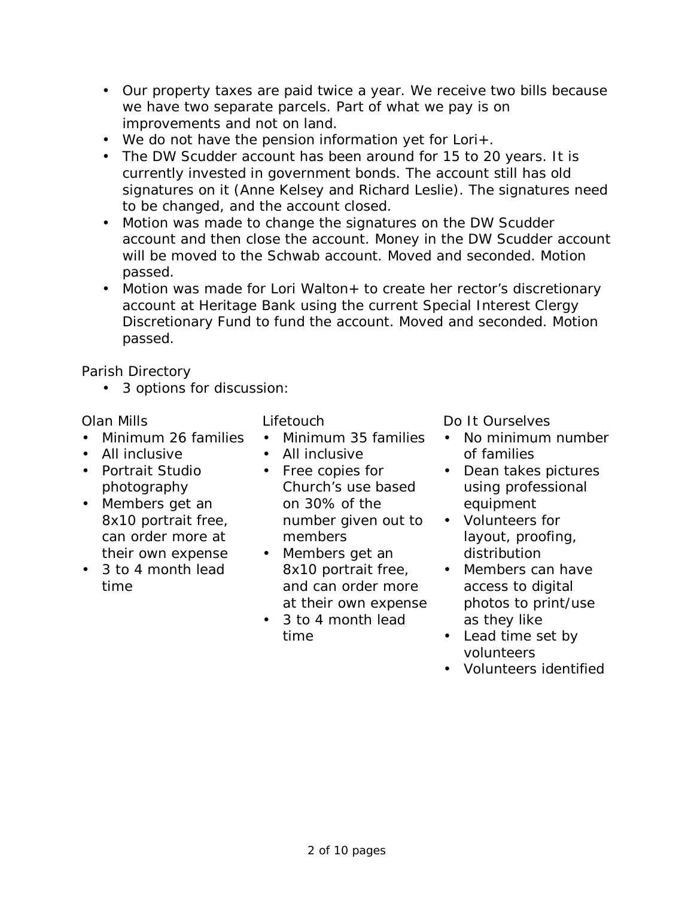- Our property taxes are paid twice a year. We receive two bills because we have two separate parcels. Part of what we pay is on improvements and not on land.
- We do not have the pension information yet for Lori+.
- The DW Scudder account has been around for 15 to 20 years. It is currently invested in government bonds. The account still has old signatures on it (Anne Kelsey and Richard Leslie). The signatures need to be changed, and the account closed.
- Motion was made to change the signatures on the DW Scudder account and then close the account. Money in the DW Scudder account will be moved to the Schwab account. Moved and seconded. Motion passed.
- Motion was made for Lori Walton+ to create her rector's discretionary account at Heritage Bank using the current Special Interest Clergy Discretionary Fund to fund the account. Moved and seconded. Motion passed.

Parish Directory

• 3 options for discussion:

- Minimum 26 families
- All inclusive
- Portrait Studio photography
- Members get an 8x10 portrait free, can order more at their own expense
- 3 to 4 month lead time

- Minimum 35 families
- All inclusive
- Free copies for Church's use based on 30% of the number given out to members
- Members get an 8x10 portrait free, and can order more at their own expense
- 3 to 4 month lead time

Olan Mills Lifetouch Do It Ourselves

- No minimum number of families
- Dean takes pictures using professional equipment
- Volunteers for layout, proofing, distribution
- Members can have access to digital photos to print/use as they like
- Lead time set by volunteers
- Volunteers identified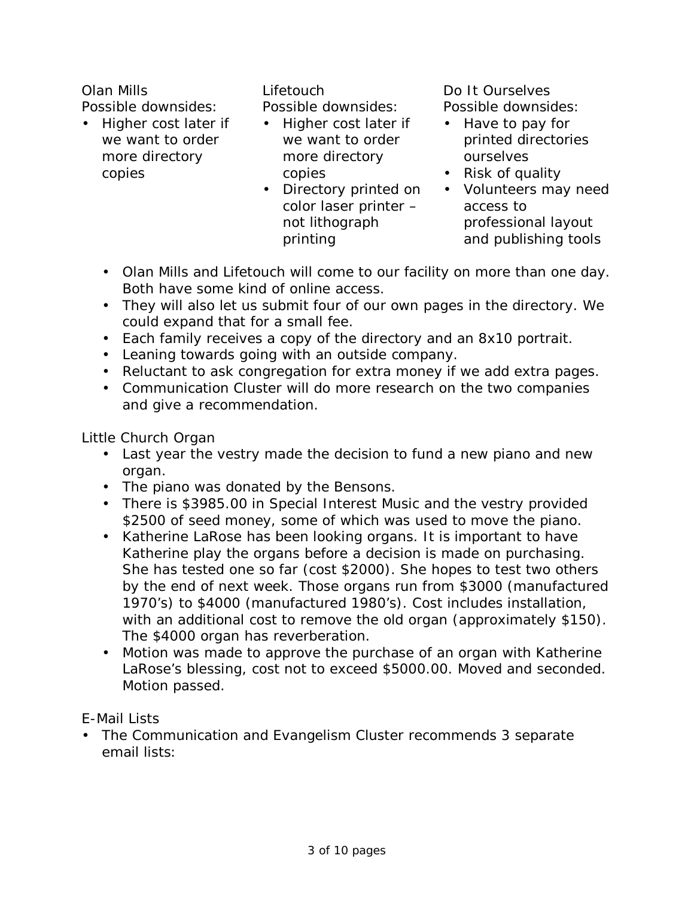Olan Mills Lifetouch Do It Ourselves Possible downsides:

• Higher cost later if we want to order more directory copies

Possible downsides:

- Higher cost later if we want to order more directory copies
- Directory printed on color laser printer – not lithograph printing

Possible downsides:

- Have to pay for printed directories ourselves
- Risk of quality
- Volunteers may need access to professional layout and publishing tools
- Olan Mills and Lifetouch will come to our facility on more than one day. Both have some kind of online access.
- They will also let us submit four of our own pages in the directory. We could expand that for a small fee.
- Each family receives a copy of the directory and an 8x10 portrait.
- Leaning towards going with an outside company.
- Reluctant to ask congregation for extra money if we add extra pages.
- Communication Cluster will do more research on the two companies and give a recommendation.

Little Church Organ

- Last year the vestry made the decision to fund a new piano and new organ.
- The piano was donated by the Bensons.
- There is \$3985.00 in Special Interest Music and the vestry provided \$2500 of seed money, some of which was used to move the piano.
- Katherine LaRose has been looking organs. It is important to have Katherine play the organs before a decision is made on purchasing. She has tested one so far (cost \$2000). She hopes to test two others by the end of next week. Those organs run from \$3000 (manufactured 1970's) to \$4000 (manufactured 1980's). Cost includes installation, with an additional cost to remove the old organ (approximately \$150). The \$4000 organ has reverberation.
- Motion was made to approve the purchase of an organ with Katherine LaRose's blessing, cost not to exceed \$5000.00. Moved and seconded. Motion passed.

E-Mail Lists

• The Communication and Evangelism Cluster recommends 3 separate email lists: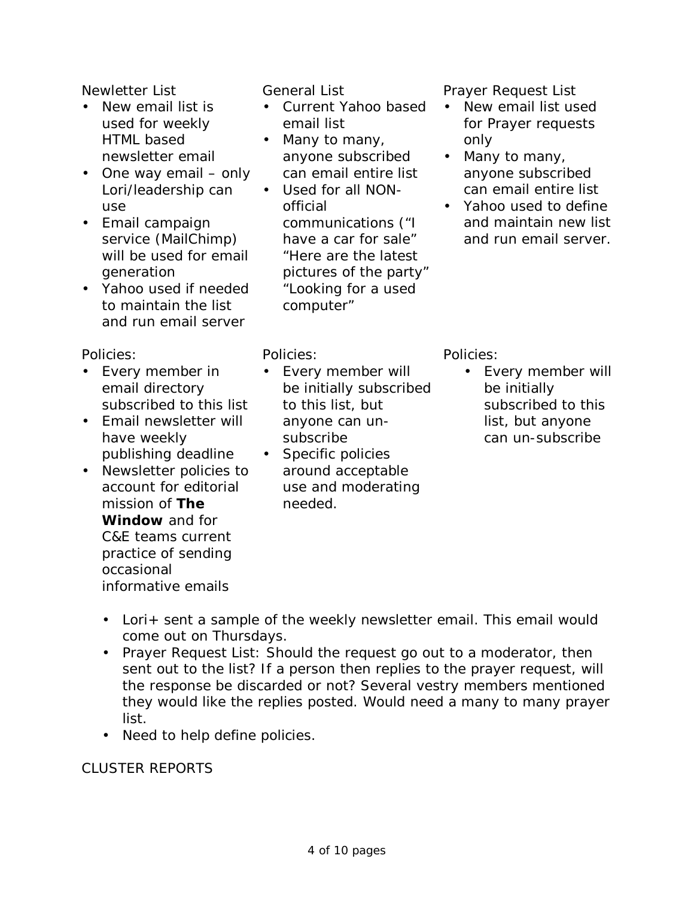- New email list is used for weekly HTML based newsletter email
- One way email only Lori/leadership can use
- Email campaign service (MailChimp) will be used for email generation
- Yahoo used if needed to maintain the list and run email server

Policies:

- Every member in email directory subscribed to this list
- Email newsletter will have weekly publishing deadline
- Newsletter policies to account for editorial mission of **The Window** and for C&E teams current practice of sending occasional informative emails

- Current Yahoo based email list
- Many to many, anyone subscribed can email entire list
- Used for all NONofficial communications ("I have a car for sale" "Here are the latest pictures of the party" "Looking for a used computer"

Newletter List **General List General List** Prayer Request List

- New email list used for Prayer requests only
- Many to many, anyone subscribed can email entire list
- Yahoo used to define and maintain new list and run email server.

Policies:

- Every member will be initially subscribed to this list, but anyone can unsubscribe
- Specific policies around acceptable use and moderating needed.

Policies:

• Every member will be initially subscribed to this list, but anyone can un-subscribe

- Lori+ sent a sample of the weekly newsletter email. This email would come out on Thursdays.
- Prayer Request List: Should the request go out to a moderator, then sent out to the list? If a person then replies to the prayer request, will the response be discarded or not? Several vestry members mentioned they would like the replies posted. Would need a many to many prayer list.
- Need to help define policies.

## CLUSTER REPORTS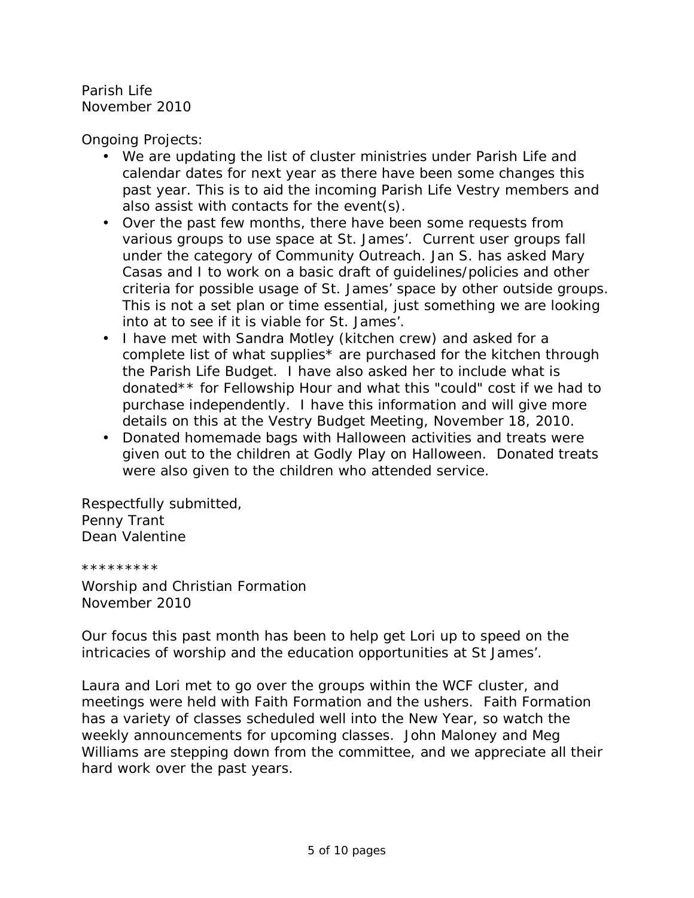Parish Life November 2010

Ongoing Projects:

- We are updating the list of cluster ministries under Parish Life and calendar dates for next year as there have been some changes this past year. This is to aid the incoming Parish Life Vestry members and also assist with contacts for the event(s).
- Over the past few months, there have been some requests from various groups to use space at St. James'. Current user groups fall under the category of Community Outreach. Jan S. has asked Mary Casas and I to work on a basic draft of guidelines/policies and other criteria for possible usage of St. James' space by other outside groups. This is not a set plan or time essential, just something we are looking into at to see if it is viable for St. James'.
- I have met with Sandra Motley (kitchen crew) and asked for a complete list of what supplies\* are purchased for the kitchen through the Parish Life Budget. I have also asked her to include what is donated\*\* for Fellowship Hour and what this "could" cost if we had to purchase independently. I have this information and will give more details on this at the Vestry Budget Meeting, November 18, 2010.
- Donated homemade bags with Halloween activities and treats were given out to the children at Godly Play on Halloween. Donated treats were also given to the children who attended service.

Respectfully submitted, Penny Trant Dean Valentine

\*\*\*\*\*\*\*\*\*

Worship and Christian Formation November 2010

Our focus this past month has been to help get Lori up to speed on the intricacies of worship and the education opportunities at St James'.

Laura and Lori met to go over the groups within the WCF cluster, and meetings were held with Faith Formation and the ushers. Faith Formation has a variety of classes scheduled well into the New Year, so watch the weekly announcements for upcoming classes. John Maloney and Meg Williams are stepping down from the committee, and we appreciate all their hard work over the past years.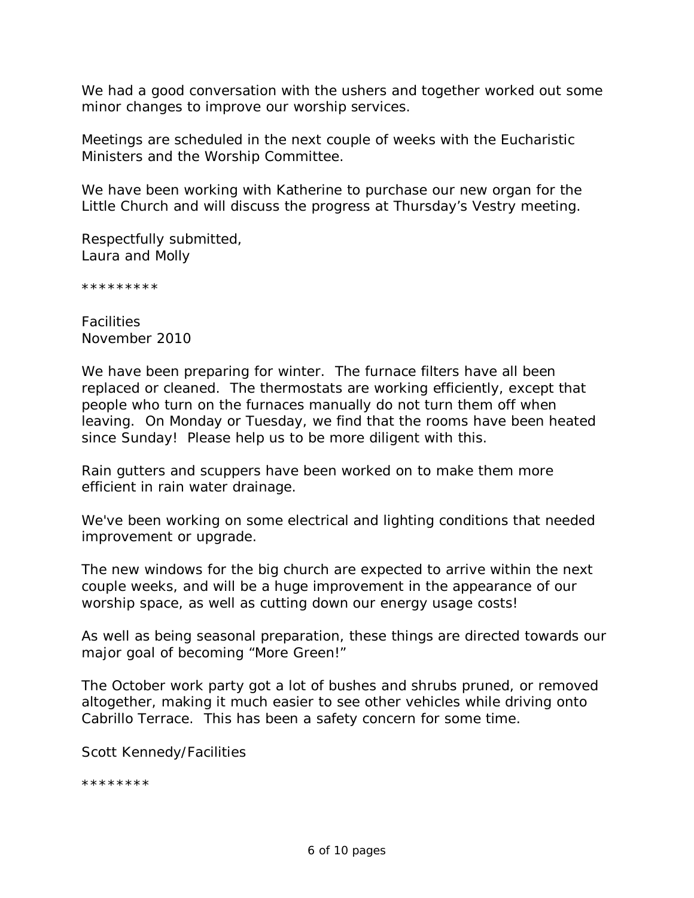We had a good conversation with the ushers and together worked out some minor changes to improve our worship services.

Meetings are scheduled in the next couple of weeks with the Eucharistic Ministers and the Worship Committee.

We have been working with Katherine to purchase our new organ for the Little Church and will discuss the progress at Thursday's Vestry meeting.

Respectfully submitted, Laura and Molly

\*\*\*\*\*\*\*\*\*

**Facilities** November 2010

We have been preparing for winter. The furnace filters have all been replaced or cleaned. The thermostats are working efficiently, except that people who turn on the furnaces manually do not turn them off when leaving. On Monday or Tuesday, we find that the rooms have been heated since Sunday! Please help us to be more diligent with this.

Rain gutters and scuppers have been worked on to make them more efficient in rain water drainage.

We've been working on some electrical and lighting conditions that needed improvement or upgrade.

The new windows for the big church are expected to arrive within the next couple weeks, and will be a huge improvement in the appearance of our worship space, as well as cutting down our energy usage costs!

As well as being seasonal preparation, these things are directed towards our major goal of becoming "More Green!"

The October work party got a lot of bushes and shrubs pruned, or removed altogether, making it much easier to see other vehicles while driving onto Cabrillo Terrace. This has been a safety concern for some time.

Scott Kennedy/Facilities

\*\*\*\*\*\*\*\*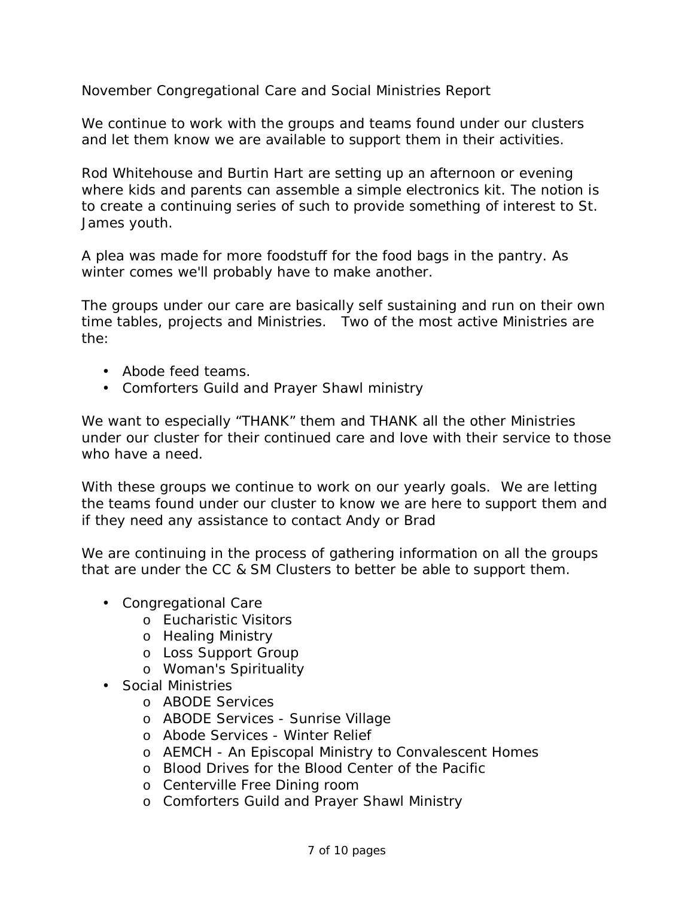November Congregational Care and Social Ministries Report

We continue to work with the groups and teams found under our clusters and let them know we are available to support them in their activities.

Rod Whitehouse and Burtin Hart are setting up an afternoon or evening where kids and parents can assemble a simple electronics kit. The notion is to create a continuing series of such to provide something of interest to St. James youth.

A plea was made for more foodstuff for the food bags in the pantry. As winter comes we'll probably have to make another.

The groups under our care are basically self sustaining and run on their own time tables, projects and Ministries. Two of the most active Ministries are the:

- Abode feed teams.
- Comforters Guild and Prayer Shawl ministry

We want to especially "THANK" them and THANK all the other Ministries under our cluster for their continued care and love with their service to those who have a need.

With these groups we continue to work on our yearly goals. We are letting the teams found under our cluster to know we are here to support them and if they need any assistance to contact Andy or Brad

We are continuing in the process of gathering information on all the groups that are under the CC & SM Clusters to better be able to support them.

- Congregational Care
	- o Eucharistic Visitors
	- o Healing Ministry
	- o Loss Support Group
	- o Woman's Spirituality
- Social Ministries
	- o ABODE Services
	- o ABODE Services Sunrise Village
	- o Abode Services Winter Relief
	- o AEMCH An Episcopal Ministry to Convalescent Homes
	- o Blood Drives for the Blood Center of the Pacific
	- o Centerville Free Dining room
	- o Comforters Guild and Prayer Shawl Ministry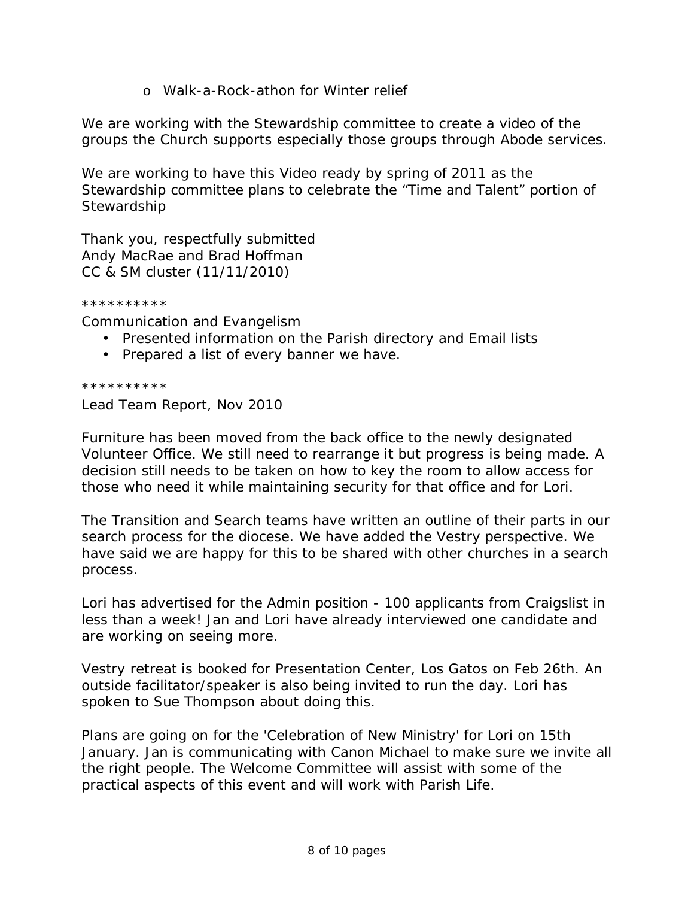o Walk-a-Rock-athon for Winter relief

We are working with the Stewardship committee to create a video of the groups the Church supports especially those groups through Abode services.

We are working to have this Video ready by spring of 2011 as the Stewardship committee plans to celebrate the "Time and Talent" portion of **Stewardship** 

Thank you, respectfully submitted Andy MacRae and Brad Hoffman CC & SM cluster (11/11/2010)

\*\*\*\*\*\*\*\*\*\*

Communication and Evangelism

- Presented information on the Parish directory and Email lists
- Prepared a list of every banner we have.

\*\*\*\*\*\*\*\*\*\*

Lead Team Report, Nov 2010

Furniture has been moved from the back office to the newly designated Volunteer Office. We still need to rearrange it but progress is being made. A decision still needs to be taken on how to key the room to allow access for those who need it while maintaining security for that office and for Lori.

The Transition and Search teams have written an outline of their parts in our search process for the diocese. We have added the Vestry perspective. We have said we are happy for this to be shared with other churches in a search process.

Lori has advertised for the Admin position - 100 applicants from Craigslist in less than a week! Jan and Lori have already interviewed one candidate and are working on seeing more.

Vestry retreat is booked for Presentation Center, Los Gatos on Feb 26th. An outside facilitator/speaker is also being invited to run the day. Lori has spoken to Sue Thompson about doing this.

Plans are going on for the 'Celebration of New Ministry' for Lori on 15th January. Jan is communicating with Canon Michael to make sure we invite all the right people. The Welcome Committee will assist with some of the practical aspects of this event and will work with Parish Life.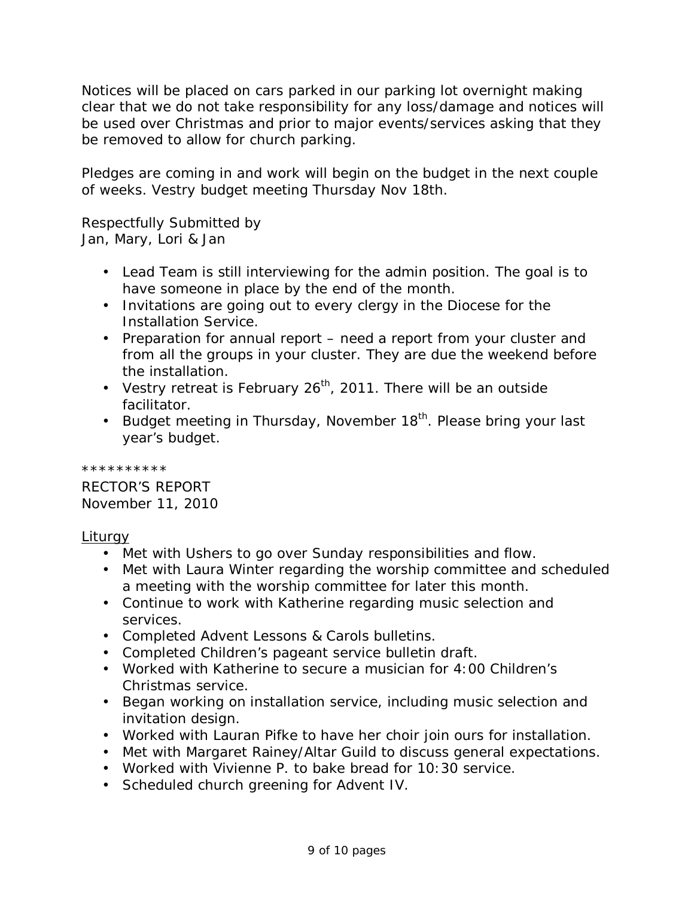Notices will be placed on cars parked in our parking lot overnight making clear that we do not take responsibility for any loss/damage and notices will be used over Christmas and prior to major events/services asking that they be removed to allow for church parking.

Pledges are coming in and work will begin on the budget in the next couple of weeks. Vestry budget meeting Thursday Nov 18th.

Respectfully Submitted by Jan, Mary, Lori & Jan

- Lead Team is still interviewing for the admin position. The goal is to have someone in place by the end of the month.
- Invitations are going out to every clergy in the Diocese for the Installation Service.
- Preparation for annual report need a report from your cluster and from all the groups in your cluster. They are due the weekend before the installation.
- Vestry retreat is February 26<sup>th</sup>, 2011. There will be an outside facilitator.
- Budget meeting in Thursday, November  $18<sup>th</sup>$ . Please bring your last year's budget.

\*\*\*\*\*\*\*\*\*\*

RECTOR'S REPORT November 11, 2010

### Liturgy

- Met with Ushers to go over Sunday responsibilities and flow.
- Met with Laura Winter regarding the worship committee and scheduled a meeting with the worship committee for later this month.
- Continue to work with Katherine regarding music selection and services.
- Completed Advent Lessons & Carols bulletins.
- Completed Children's pageant service bulletin draft.
- Worked with Katherine to secure a musician for 4:00 Children's Christmas service.
- Began working on installation service, including music selection and invitation design.
- Worked with Lauran Pifke to have her choir join ours for installation.
- Met with Margaret Rainey/Altar Guild to discuss general expectations.
- Worked with Vivienne P. to bake bread for 10:30 service.
- Scheduled church greening for Advent IV.